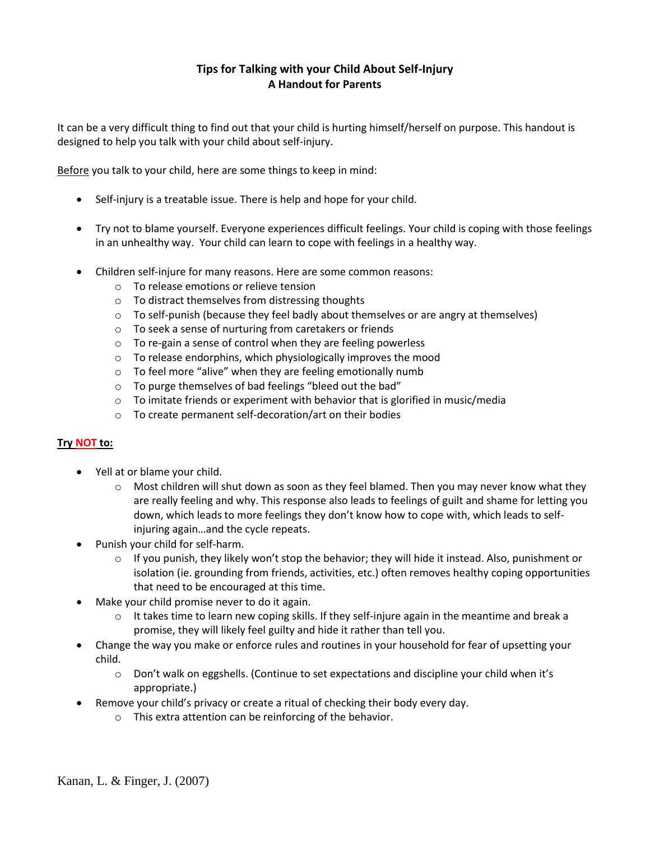# **Tips for Talking with your Child About Self-Injury A Handout for Parents**

It can be a very difficult thing to find out that your child is hurting himself/herself on purpose. This handout is designed to help you talk with your child about self-injury.

Before you talk to your child, here are some things to keep in mind:

- Self-injury is a treatable issue. There is help and hope for your child.
- Try not to blame yourself. Everyone experiences difficult feelings. Your child is coping with those feelings in an unhealthy way. Your child can learn to cope with feelings in a healthy way.
- Children self-injure for many reasons. Here are some common reasons:
	- o To release emotions or relieve tension
	- o To distract themselves from distressing thoughts
	- $\circ$  To self-punish (because they feel badly about themselves or are angry at themselves)
	- o To seek a sense of nurturing from caretakers or friends
	- o To re-gain a sense of control when they are feeling powerless
	- o To release endorphins, which physiologically improves the mood
	- o To feel more "alive" when they are feeling emotionally numb
	- o To purge themselves of bad feelings "bleed out the bad"
	- $\circ$  To imitate friends or experiment with behavior that is glorified in music/media
	- o To create permanent self-decoration/art on their bodies

## **Try NOT to:**

- Yell at or blame your child.
	- $\circ$  Most children will shut down as soon as they feel blamed. Then you may never know what they are really feeling and why. This response also leads to feelings of guilt and shame for letting you down, which leads to more feelings they don't know how to cope with, which leads to selfinjuring again…and the cycle repeats.
- Punish your child for self-harm.
	- $\circ$  If you punish, they likely won't stop the behavior; they will hide it instead. Also, punishment or isolation (ie. grounding from friends, activities, etc.) often removes healthy coping opportunities that need to be encouraged at this time.
- Make your child promise never to do it again.
	- $\circ$  It takes time to learn new coping skills. If they self-injure again in the meantime and break a promise, they will likely feel guilty and hide it rather than tell you.
- Change the way you make or enforce rules and routines in your household for fear of upsetting your child.
	- o Don't walk on eggshells. (Continue to set expectations and discipline your child when it's appropriate.)
- Remove your child's privacy or create a ritual of checking their body every day.
	- o This extra attention can be reinforcing of the behavior.